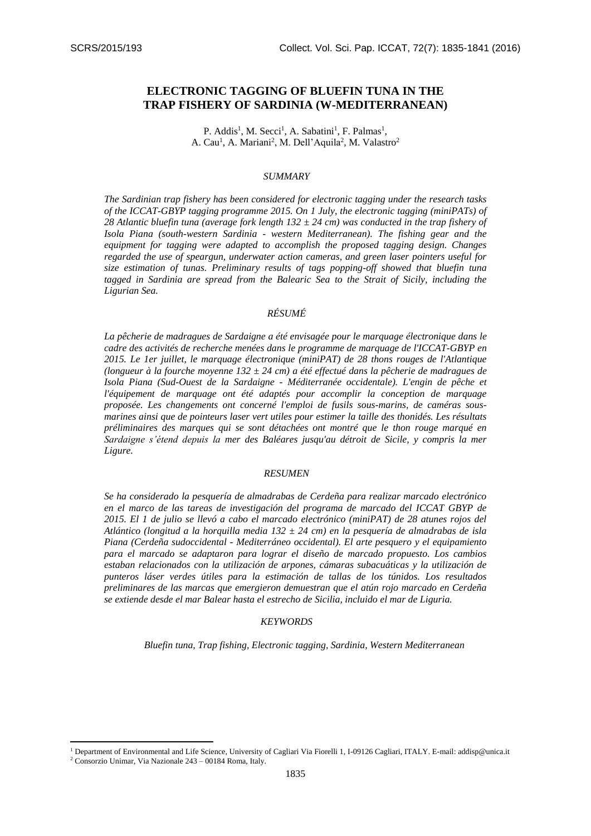1

# **ELECTRONIC TAGGING OF BLUEFIN TUNA IN THE TRAP FISHERY OF SARDINIA (W-MEDITERRANEAN)**

P. Addis<sup>1</sup>, M. Secci<sup>1</sup>, A. Sabatini<sup>1</sup>, F. Palmas<sup>1</sup>, A. Cau<sup>1</sup>, A. Mariani<sup>2</sup>, M. Dell'Aquila<sup>2</sup>, M. Valastro<sup>2</sup>

#### *SUMMARY*

*The Sardinian trap fishery has been considered for electronic tagging under the research tasks of the ICCAT-GBYP tagging programme 2015. On 1 July, the electronic tagging (miniPATs) of 28 Atlantic bluefin tuna (average fork length 132 ± 24 cm) was conducted in the trap fishery of Isola Piana (south-western Sardinia - western Mediterranean). The fishing gear and the equipment for tagging were adapted to accomplish the proposed tagging design. Changes regarded the use of speargun, underwater action cameras, and green laser pointers useful for size estimation of tunas. Preliminary results of tags popping-off showed that bluefin tuna tagged in Sardinia are spread from the Balearic Sea to the Strait of Sicily, including the Ligurian Sea.* 

### *RÉSUMÉ*

*La pêcherie de madragues de Sardaigne a été envisagée pour le marquage électronique dans le cadre des activités de recherche menées dans le programme de marquage de l'ICCAT-GBYP en 2015. Le 1er juillet, le marquage électronique (miniPAT) de 28 thons rouges de l'Atlantique (longueur à la fourche moyenne 132 ± 24 cm) a été effectué dans la pêcherie de madragues de Isola Piana (Sud-Ouest de la Sardaigne - Méditerranée occidentale). L'engin de pêche et l'équipement de marquage ont été adaptés pour accomplir la conception de marquage proposée. Les changements ont concerné l'emploi de fusils sous-marins, de caméras sousmarines ainsi que de pointeurs laser vert utiles pour estimer la taille des thonidés. Les résultats préliminaires des marques qui se sont détachées ont montré que le thon rouge marqué en Sardaigne s'étend depuis la mer des Baléares jusqu'au détroit de Sicile, y compris la mer Ligure.* 

### *RESUMEN*

*Se ha considerado la pesquería de almadrabas de Cerdeña para realizar marcado electrónico en el marco de las tareas de investigación del programa de marcado del ICCAT GBYP de 2015. El 1 de julio se llevó a cabo el marcado electrónico (miniPAT) de 28 atunes rojos del Atlántico (longitud a la horquilla media 132 ± 24 cm) en la pesquería de almadrabas de isla Piana (Cerdeña sudoccidental - Mediterráneo occidental). El arte pesquero y el equipamiento para el marcado se adaptaron para lograr el diseño de marcado propuesto. Los cambios estaban relacionados con la utilización de arpones, cámaras subacuáticas y la utilización de punteros láser verdes útiles para la estimación de tallas de los túnidos. Los resultados preliminares de las marcas que emergieron demuestran que el atún rojo marcado en Cerdeña se extiende desde el mar Balear hasta el estrecho de Sicilia, incluido el mar de Liguria.* 

#### *KEYWORDS*

*Bluefin tuna, Trap fishing, Electronic tagging, Sardinia, Western Mediterranean* 

<sup>1</sup> Department of Environmental and Life Science, University of Cagliari Via Fiorelli 1, I-09126 Cagliari, ITALY. E-mail[: addisp@unica.it](mailto:addisp@unica.it) <sup>2</sup> Consorzio Unimar, Via Nazionale 243 – 00184 Roma, Italy.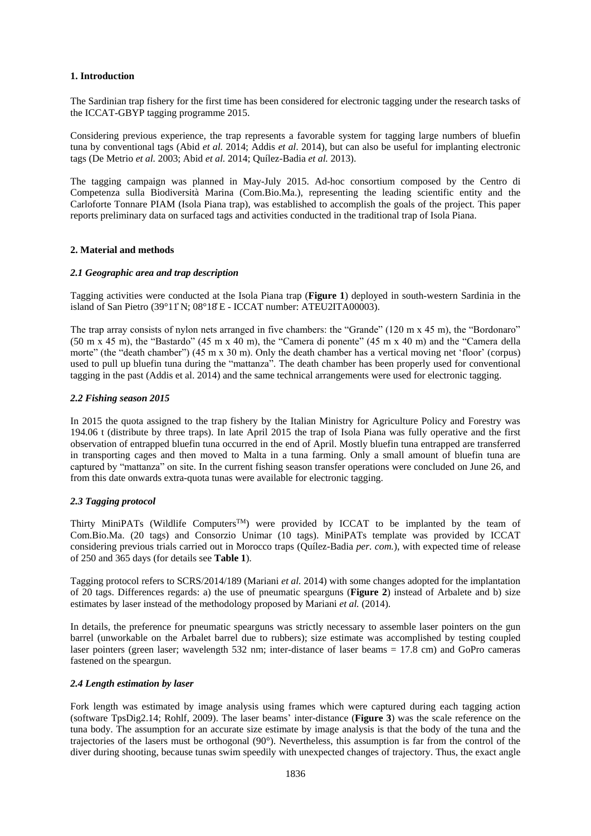### **1. Introduction**

The Sardinian trap fishery for the first time has been considered for electronic tagging under the research tasks of the ICCAT-GBYP tagging programme 2015.

Considering previous experience, the trap represents a favorable system for tagging large numbers of bluefin tuna by conventional tags (Abid *et al.* 2014; Addis *et al*. 2014), but can also be useful for implanting electronic tags (De Metrio *et al.* 2003; Abid *et al.* 2014; Quílez-Badia *et al.* 2013).

The tagging campaign was planned in May-July 2015. Ad-hoc consortium composed by the Centro di Competenza sulla Biodiversità Marina (Com.Bio.Ma.), representing the leading scientific entity and the Carloforte Tonnare PIAM (Isola Piana trap), was established to accomplish the goals of the project. This paper reports preliminary data on surfaced tags and activities conducted in the traditional trap of Isola Piana.

### **2. Material and methods**

### *2.1 Geographic area and trap description*

Tagging activities were conducted at the Isola Piana trap (**Figure 1**) deployed in south-western Sardinia in the island of San Pietro (39°11″ N; 08°18' E - ICCAT number: ATEU2ITA00003).

The trap array consists of nylon nets arranged in five chambers: the "Grande" (120 m x 45 m), the "Bordonaro" (50 m x 45 m), the "Bastardo" (45 m x 40 m), the "Camera di ponente" (45 m x 40 m) and the "Camera della morte" (the "death chamber") (45 m x 30 m). Only the death chamber has a vertical moving net 'floor' (corpus) used to pull up bluefin tuna during the "mattanza". The death chamber has been properly used for conventional tagging in the past (Addis et al. 2014) and the same technical arrangements were used for electronic tagging.

### *2.2 Fishing season 2015*

In 2015 the quota assigned to the trap fishery by the Italian Ministry for Agriculture Policy and Forestry was 194.06 t (distribute by three traps). In late April 2015 the trap of Isola Piana was fully operative and the first observation of entrapped bluefin tuna occurred in the end of April. Mostly bluefin tuna entrapped are transferred in transporting cages and then moved to Malta in a tuna farming. Only a small amount of bluefin tuna are captured by "mattanza" on site. In the current fishing season transfer operations were concluded on June 26, and from this date onwards extra-quota tunas were available for electronic tagging.

# *2.3 Tagging protocol*

Thirty MiniPATs (Wildlife Computers<sup>TM</sup>) were provided by ICCAT to be implanted by the team of Com.Bio.Ma. (20 tags) and Consorzio Unimar (10 tags). MiniPATs template was provided by ICCAT considering previous trials carried out in Morocco traps (Quílez-Badia *per. com.*), with expected time of release of 250 and 365 days (for details see **Table 1**).

Tagging protocol refers to SCRS/2014/189 (Mariani *et al.* 2014) with some changes adopted for the implantation of 20 tags. Differences regards: a) the use of pneumatic spearguns (**Figure 2**) instead of Arbalete and b) size estimates by laser instead of the methodology proposed by Mariani *et al.* (2014).

In details, the preference for pneumatic spearguns was strictly necessary to assemble laser pointers on the gun barrel (unworkable on the Arbalet barrel due to rubbers); size estimate was accomplished by testing coupled laser pointers (green laser; wavelength 532 nm; inter-distance of laser beams = 17.8 cm) and GoPro cameras fastened on the speargun.

#### *2.4 Length estimation by laser*

Fork length was estimated by image analysis using frames which were captured during each tagging action (software TpsDig2.14; Rohlf, 2009). The laser beams' inter-distance (**Figure 3**) was the scale reference on the tuna body. The assumption for an accurate size estimate by image analysis is that the body of the tuna and the trajectories of the lasers must be orthogonal (90°). Nevertheless, this assumption is far from the control of the diver during shooting, because tunas swim speedily with unexpected changes of trajectory. Thus, the exact angle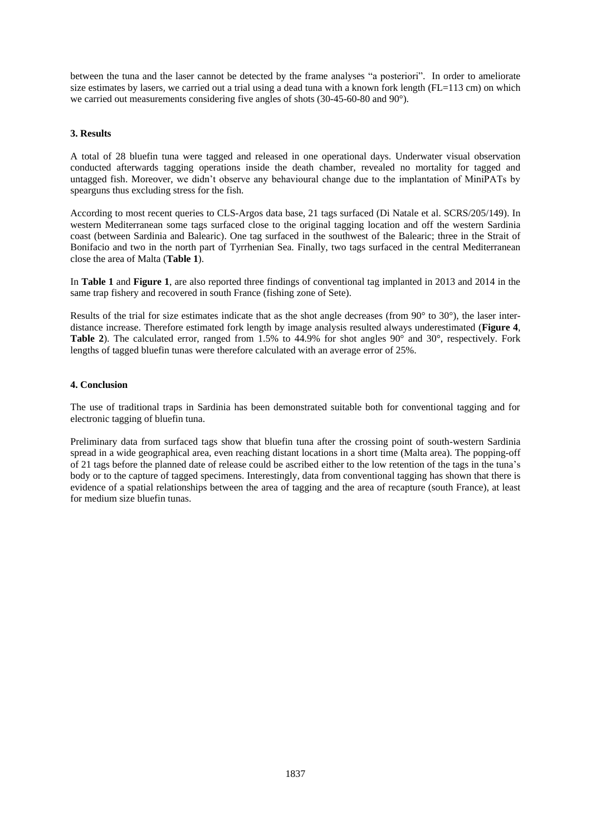between the tuna and the laser cannot be detected by the frame analyses "a posteriori". In order to ameliorate size estimates by lasers, we carried out a trial using a dead tuna with a known fork length (FL=113 cm) on which we carried out measurements considering five angles of shots (30-45-60-80 and 90°).

# **3. Results**

A total of 28 bluefin tuna were tagged and released in one operational days. Underwater visual observation conducted afterwards tagging operations inside the death chamber, revealed no mortality for tagged and untagged fish. Moreover, we didn't observe any behavioural change due to the implantation of MiniPATs by spearguns thus excluding stress for the fish.

According to most recent queries to CLS-Argos data base, 21 tags surfaced (Di Natale et al. SCRS/205/149). In western Mediterranean some tags surfaced close to the original tagging location and off the western Sardinia coast (between Sardinia and Balearic). One tag surfaced in the southwest of the Balearic; three in the Strait of Bonifacio and two in the north part of Tyrrhenian Sea. Finally, two tags surfaced in the central Mediterranean close the area of Malta (**Table 1**).

In **Table 1** and **Figure 1**, are also reported three findings of conventional tag implanted in 2013 and 2014 in the same trap fishery and recovered in south France (fishing zone of Sete).

Results of the trial for size estimates indicate that as the shot angle decreases (from 90° to 30°), the laser interdistance increase. Therefore estimated fork length by image analysis resulted always underestimated (**Figure 4**, **Table 2**). The calculated error, ranged from 1.5% to 44.9% for shot angles 90° and 30°, respectively. Fork lengths of tagged bluefin tunas were therefore calculated with an average error of 25%.

# **4. Conclusion**

The use of traditional traps in Sardinia has been demonstrated suitable both for conventional tagging and for electronic tagging of bluefin tuna.

Preliminary data from surfaced tags show that bluefin tuna after the crossing point of south-western Sardinia spread in a wide geographical area, even reaching distant locations in a short time (Malta area). The popping-off of 21 tags before the planned date of release could be ascribed either to the low retention of the tags in the tuna's body or to the capture of tagged specimens. Interestingly, data from conventional tagging has shown that there is evidence of a spatial relationships between the area of tagging and the area of recapture (south France), at least for medium size bluefin tunas.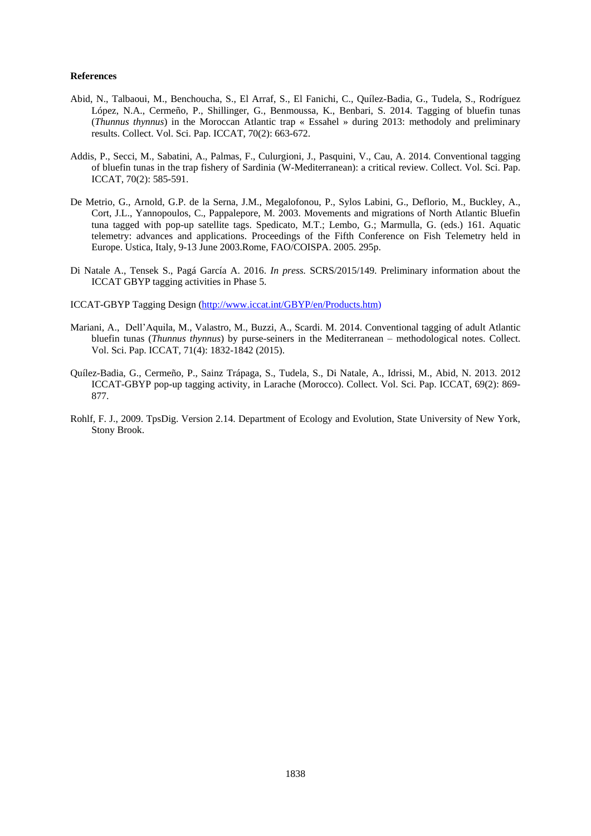#### **References**

- Abid, N., Talbaoui, M., Benchoucha, S., El Arraf, S., El Fanichi, C., Quílez-Badia, G., Tudela, S., Rodríguez López, N.A., Cermeño, P., Shillinger, G., Benmoussa, K., Benbari, S. 2014. Tagging of bluefin tunas (*Thunnus thynnus*) in the Moroccan Atlantic trap « Essahel » during 2013: methodoly and preliminary results. Collect. Vol. Sci. Pap. ICCAT, 70(2): 663-672.
- Addis, P., Secci, M., Sabatini, A., Palmas, F., Culurgioni, J., Pasquini, V., Cau, A. 2014. Conventional tagging of bluefin tunas in the trap fishery of Sardinia (W-Mediterranean): a critical review. Collect. Vol. Sci. Pap. ICCAT, 70(2): 585-591.
- De Metrio, G., Arnold, G.P. de la Serna, J.M., Megalofonou, P., Sylos Labini, G., Deflorio, M., Buckley, A., Cort, J.L., Yannopoulos, C., Pappalepore, M. 2003. Movements and migrations of North Atlantic Bluefin tuna tagged with pop-up satellite tags. Spedicato, M.T.; Lembo, G.; Marmulla, G. (eds.) 161. Aquatic telemetry: advances and applications. Proceedings of the Fifth Conference on Fish Telemetry held in Europe. Ustica, Italy, 9-13 June 2003.Rome, FAO/COISPA. 2005. 295p.
- Di Natale A., Tensek S., Pagá García A. 2016. *In press.* SCRS/2015/149. Preliminary information about the ICCAT GBYP tagging activities in Phase 5.
- ICCAT-GBYP Tagging Design [\(http://www.iccat.int/GBYP/en/Products.htm\)](http://www.iccat.int/GBYP/en/Products.htm)
- Mariani, A., Dell'Aquila, M., Valastro, M., Buzzi, A., Scardi. M. 2014. Conventional tagging of adult Atlantic bluefin tunas (*Thunnus thynnus*) by purse-seiners in the Mediterranean – methodological notes. Collect. Vol. Sci. Pap. ICCAT, 71(4): 1832-1842 (2015).
- Quílez-Badia, G., Cermeño, P., Sainz Trápaga, S., Tudela, S., Di Natale, A., Idrissi, M., Abid, N. 2013. 2012 ICCAT-GBYP pop-up tagging activity, in Larache (Morocco). Collect. Vol. Sci. Pap. ICCAT, 69(2): 869- 877.
- Rohlf, F. J., 2009. TpsDig. Version 2.14. Department of Ecology and Evolution, State University of New York, Stony Brook.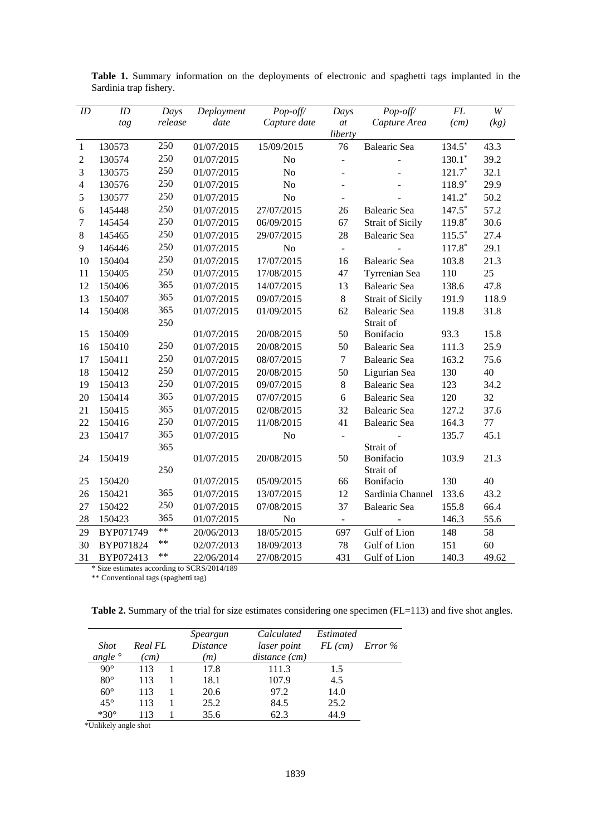| ID             | ID        | Days    | Deployment | Pop-off/                 | Days                     | Pop-off/                | $\cal FL$ | $\ensuremath{W}$ |
|----------------|-----------|---------|------------|--------------------------|--------------------------|-------------------------|-----------|------------------|
|                | tag       | release | date       | Capture date             | at                       | Capture Area            | (cm)      | (kg)             |
|                |           |         |            |                          | liberty                  |                         |           |                  |
| $\mathbf{1}$   | 130573    | 250     | 01/07/2015 | 15/09/2015               | 76                       | Balearic Sea            | $134.5*$  | 43.3             |
| $\mathfrak 2$  | 130574    | 250     | 01/07/2015 | N <sub>o</sub>           | $\frac{1}{2}$            |                         | $130.1*$  | 39.2             |
| 3              | 130575    | 250     | 01/07/2015 | N <sub>o</sub>           | $\overline{\phantom{a}}$ |                         | $121.7*$  | 32.1             |
| $\overline{4}$ | 130576    | 250     | 01/07/2015 | No                       |                          |                         | $118.9*$  | 29.9             |
| 5              | 130577    | 250     | 01/07/2015 | N <sub>o</sub>           | $\overline{a}$           |                         | $141.2*$  | 50.2             |
| 6              | 145448    | 250     | 01/07/2015 | 27/07/2015               | 26                       | Balearic Sea            | $147.5*$  | 57.2             |
| $\tau$         | 145454    | 250     | 01/07/2015 | 06/09/2015               | 67                       | <b>Strait of Sicily</b> | $119.8*$  | 30.6             |
| 8              | 145465    | 250     | 01/07/2015 | 29/07/2015               | 28                       | Balearic Sea            | $115.5*$  | 27.4             |
| 9              | 146446    | 250     | 01/07/2015 | No                       | $\Box$                   |                         | $117.8*$  | 29.1             |
| 10             | 150404    | 250     | 01/07/2015 | 17/07/2015               | 16                       | Balearic Sea            | 103.8     | 21.3             |
| 11             | 150405    | 250     | 01/07/2015 | 17/08/2015               | 47                       | Tyrrenian Sea           | 110       | 25               |
| 12             | 150406    | 365     | 01/07/2015 | 14/07/2015               | 13                       | Balearic Sea            | 138.6     | 47.8             |
| 13             | 150407    | 365     | 01/07/2015 | 09/07/2015               | 8                        | <b>Strait of Sicily</b> | 191.9     | 118.9            |
| 14             | 150408    | 365     | 01/07/2015 | 01/09/2015               | 62                       | <b>Balearic Sea</b>     | 119.8     | 31.8             |
|                |           | 250     |            |                          |                          | Strait of               |           |                  |
| 15             | 150409    |         | 01/07/2015 | 20/08/2015               | 50                       | Bonifacio               | 93.3      | 15.8             |
| 16             | 150410    | 250     | 01/07/2015 | 20/08/2015               | 50                       | Balearic Sea            | 111.3     | 25.9             |
| 17             | 150411    | 250     | 01/07/2015 | 08/07/2015               | $\overline{7}$           | Balearic Sea            | 163.2     | 75.6             |
| 18             | 150412    | 250     | 01/07/2015 | 20/08/2015               | 50                       | Ligurian Sea            | 130       | 40               |
| 19             | 150413    | 250     | 01/07/2015 | 09/07/2015               | 8                        | Balearic Sea            | 123       | 34.2             |
| 20             | 150414    | 365     | 01/07/2015 | 07/07/2015               | 6                        | <b>Balearic Sea</b>     | 120       | 32               |
| 21             | 150415    | 365     | 01/07/2015 | 02/08/2015               | 32                       | Balearic Sea            | 127.2     | 37.6             |
| 22             | 150416    | 250     | 01/07/2015 | 11/08/2015               | 41                       | <b>Balearic Sea</b>     | 164.3     | 77               |
| 23             | 150417    | 365     | 01/07/2015 | N <sub>o</sub>           | $\blacksquare$           |                         | 135.7     | 45.1             |
|                |           | 365     |            |                          |                          | Strait of               |           |                  |
| 24             | 150419    |         | 01/07/2015 | 20/08/2015               | 50                       | Bonifacio               | 103.9     | 21.3             |
| 25             | 150420    | 250     | 01/07/2015 |                          | 66                       | Strait of<br>Bonifacio  | 130       | 40               |
| 26             | 150421    | 365     | 01/07/2015 | 05/09/2015<br>13/07/2015 | 12                       | Sardinia Channel        | 133.6     | 43.2             |
| 27             | 150422    | 250     |            | 07/08/2015               | 37                       | <b>Balearic Sea</b>     | 155.8     | 66.4             |
|                |           | 365     | 01/07/2015 |                          |                          |                         |           |                  |
| 28             | 150423    | $**$    | 01/07/2015 | No                       | $\Box$                   |                         | 146.3     | 55.6             |
| 29             | BYP071749 | $**$    | 20/06/2013 | 18/05/2015               | 697                      | Gulf of Lion            | 148       | 58               |
| 30             | BYP071824 | $**$    | 02/07/2013 | 18/09/2013               | 78                       | Gulf of Lion            | 151       | 60               |
| 31             | BYP072413 |         | 22/06/2014 | 27/08/2015               | 431                      | Gulf of Lion            | 140.3     | 49.62            |

**Table 1.** Summary information on the deployments of electronic and spaghetti tags implanted in the Sardinia trap fishery.

\* Size estimates according to SCRS/2014/189

\*\* Conventional tags (spaghetti tag)

Table 2. Summary of the trial for size estimates considering one specimen (FL=113) and five shot angles.

|               |         | Speargun        | Calculated    | Estimated              |         |
|---------------|---------|-----------------|---------------|------------------------|---------|
| <b>Shot</b>   | Real FL | <i>Distance</i> | laser point   | $FL \left( cm \right)$ | Error % |
| angle $\circ$ | (cm)    | (m)             | distance (cm) |                        |         |
| $90^\circ$    | 113     | 17.8            | 111.3         | 1.5                    |         |
| $80^{\circ}$  | 113     | 18.1            | 107.9         | 4.5                    |         |
| $60^\circ$    | 113     | 20.6            | 97.2          | 14.0                   |         |
| $45^{\circ}$  | 113     | 25.2            | 84.5          | 25.2                   |         |
| $*30^\circ$   | 113     | 35.6            | 62.3          | 44.9                   |         |

\*Unlikely angle shot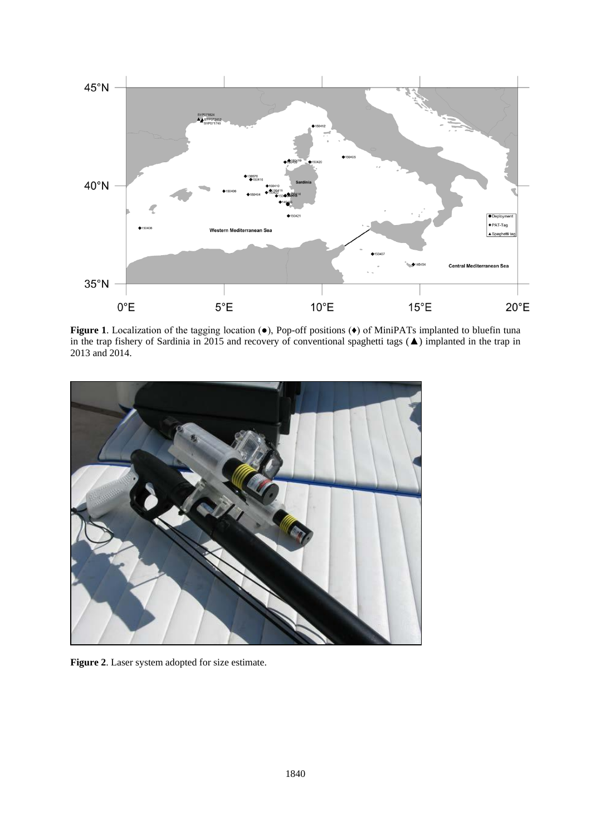

**Figure 1**. Localization of the tagging location (●), Pop-off positions (♦) of MiniPATs implanted to bluefin tuna in the trap fishery of Sardinia in 2015 and recovery of conventional spaghetti tags (▲) implanted in the trap in 2013 and 2014.



**Figure 2**. Laser system adopted for size estimate.